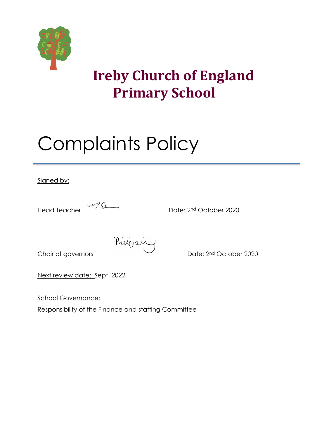

# **Ireby Church of England Primary School**

# Complaints Policy

Signed by:

Head Teacher 2020

Riving Chair of governors Pulling Chair of governors Pulling Chair of distribution of Date: 2nd October 2020

Next review date: Sept 2022

School Governance:

Responsibility of the Finance and staffing Committee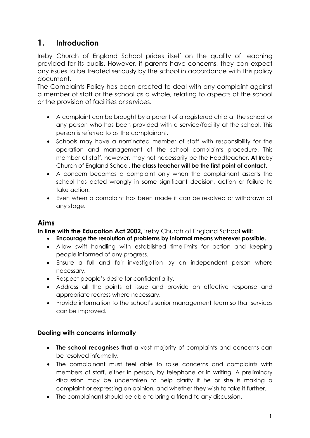# **1. Introduction**

Ireby Church of England School prides itself on the quality of teaching provided for its pupils. However, if parents have concerns, they can expect any issues to be treated seriously by the school in accordance with this policy document.

The Complaints Policy has been created to deal with any complaint against a member of staff or the school as a whole, relating to aspects of the school or the provision of facilities or services.

- A complaint can be brought by a parent of a registered child at the school or any person who has been provided with a service/facility at the school. This person is referred to as the complainant.
- Schools may have a nominated member of staff with responsibility for the operation and management of the school complaints procedure. This member of staff, however, may not necessarily be the Headteacher. **At** Ireby Church of England School**, the class teacher will be the first point of contact.**
- A concern becomes a complaint only when the complainant asserts the school has acted wrongly in some significant decision, action or failure to take action.
- Even when a complaint has been made it can be resolved or withdrawn at any stage.

#### **Aims**

**In line with the Education Act 2002,** Ireby Church of England School **will:**

- **Encourage the resolution of problems by informal means wherever possible.**
- Allow swift handling with established time-limits for action and keeping people informed of any progress.
- Ensure a full and fair investigation by an independent person where necessary.
- Respect people's desire for confidentiality.
- Address all the points at issue and provide an effective response and appropriate redress where necessary.
- Provide information to the school's senior management team so that services can be improved.

#### **Dealing with concerns informally**

- **The school recognises that a** vast majority of complaints and concerns can be resolved informally.
- The complainant must feel able to raise concerns and complaints with members of staff, either in person, by telephone or in writing. A preliminary discussion may be undertaken to help clarify if he or she is making a complaint or expressing an opinion, and whether they wish to take it further.
- The complainant should be able to bring a friend to any discussion.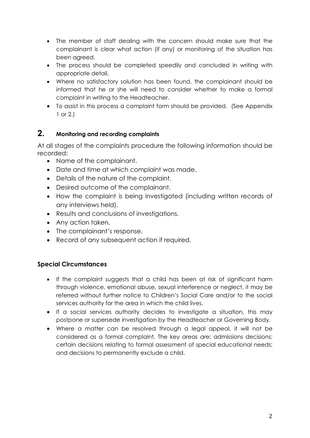- The member of staff dealing with the concern should make sure that the complainant is clear what action (if any) or monitoring of the situation has been agreed.
- The process should be completed speedily and concluded in writing with appropriate detail.
- Where no satisfactory solution has been found, the complainant should be informed that he or she will need to consider whether to make a formal complaint in writing to the Headteacher.
- To assist in this process a complaint form should be provided. (See Appendix 1 or 2.)

#### **2. Monitoring and recording complaints**

At all stages of the complaints procedure the following information should be recorded:

- Name of the complainant.
- Date and time at which complaint was made.
- Details of the nature of the complaint.
- Desired outcome of the complainant.
- How the complaint is being investigated (including written records of any interviews held).
- Results and conclusions of investigations.
- Any action taken.
- The complainant's response.
- Record of any subsequent action if required.

#### **Special Circumstances**

- If the complaint suggests that a child has been at risk of significant harm through violence, emotional abuse, sexual interference or neglect, it may be referred without further notice to Children's Social Care and/or to the social services authority for the area in which the child lives.
- If a social services authority decides to investigate a situation, this may postpone or supersede investigation by the Headteacher or Governing Body.
- Where a matter can be resolved through a legal appeal, it will not be considered as a formal complaint. The key areas are: admissions decisions; certain decisions relating to formal assessment of special educational needs; and decisions to permanently exclude a child.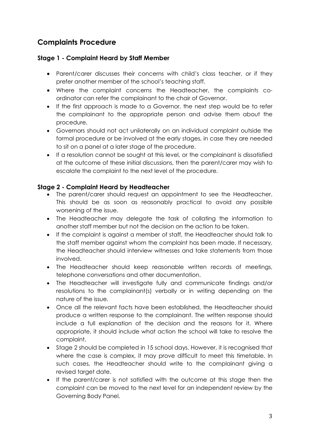# **Complaints Procedure**

#### **Stage 1 - Complaint Heard by Staff Member**

- Parent/carer discusses their concerns with child's class teacher, or if they prefer another member of the school's teaching staff.
- Where the complaint concerns the Headteacher, the complaints coordinator can refer the complainant to the chair of Governor.
- If the first approach is made to a Governor, the next step would be to refer the complainant to the appropriate person and advise them about the procedure.
- Governors should not act unilaterally on an individual complaint outside the formal procedure or be involved at the early stages, in case they are needed to sit on a panel at a later stage of the procedure.
- If a resolution cannot be sought at this level, or the complainant is dissatisfied at the outcome of these initial discussions, then the parent/carer may wish to escalate the complaint to the next level of the procedure.

#### **Stage 2 - Complaint Heard by Headteacher**

- The parent/carer should request an appointment to see the Headteacher. This should be as soon as reasonably practical to avoid any possible worsening of the issue.
- The Headteacher may delegate the task of collating the information to another staff member but not the decision on the action to be taken.
- If the complaint is against a member of staff, the Headteacher should talk to the staff member against whom the complaint has been made. If necessary, the Headteacher should interview witnesses and take statements from those involved.
- The Headteacher should keep reasonable written records of meetings, telephone conversations and other documentation.
- The Headteacher will investigate fully and communicate findings and/or resolutions to the complainant(s) verbally or in writing depending on the nature of the issue.
- Once all the relevant facts have been established, the Headteacher should produce a written response to the complainant. The written response should include a full explanation of the decision and the reasons for it. Where appropriate, it should include what action the school will take to resolve the complaint.
- Stage 2 should be completed in 15 school days. However, it is recognised that where the case is complex, it may prove difficult to meet this timetable. In such cases, the Headteacher should write to the complainant giving a revised target date.
- If the parent/carer is not satisfied with the outcome at this stage then the complaint can be moved to the next level for an independent review by the Governing Body Panel.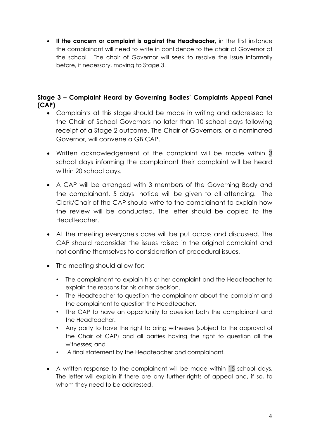• **If the concern or complaint is against the Headteacher,** in the first instance the complainant will need to write in confidence to the chair of Governor at the school. The chair of Governor will seek to resolve the issue informally before, if necessary, moving to Stage 3.

#### **Stage 3 – Complaint Heard by Governing Bodies' Complaints Appeal Panel (CAP)**

- Complaints at this stage should be made in writing and addressed to the Chair of School Governors no later than 10 school days following receipt of a Stage 2 outcome. The Chair of Governors, or a nominated Governor, will convene a GB CAP.
- Written acknowledgement of the complaint will be made within 3 school days informing the complainant their complaint will be heard within 20 school days.
- A CAP will be arranged with 3 members of the Governing Body and the complainant. 5 days' notice will be given to all attending. The Clerk/Chair of the CAP should write to the complainant to explain how the review will be conducted. The letter should be copied to the Headteacher.
- At the meeting everyone's case will be put across and discussed. The CAP should reconsider the issues raised in the original complaint and not confine themselves to consideration of procedural issues.
- The meeting should allow for:
	- The complainant to explain his or her complaint and the Headteacher to explain the reasons for his or her decision.
	- The Headteacher to question the complainant about the complaint and the complainant to question the Headteacher.
	- The CAP to have an opportunity to question both the complainant and the Headteacher.
	- Any party to have the right to bring witnesses (subject to the approval of the Chair of CAP) and all parties having the right to question all the witnesses; and
	- A final statement by the Headteacher and complainant.
- A written response to the complainant will be made within 15 school days. The letter will explain if there are any further rights of appeal and, if so, to whom they need to be addressed.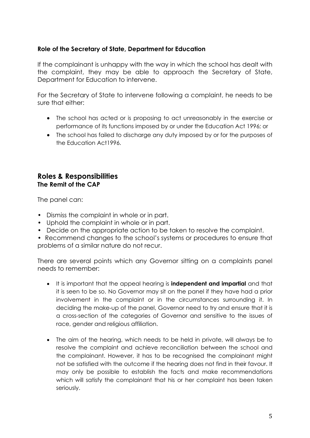#### **Role of the Secretary of State, Department for Education**

If the complainant is unhappy with the way in which the school has dealt with the complaint, they may be able to approach the Secretary of State, Department for Education to intervene.

For the Secretary of State to intervene following a complaint, he needs to be sure that either:

- The school has acted or is proposing to act unreasonably in the exercise or performance of its functions imposed by or under the Education Act 1996; or
- The school has failed to discharge any duty imposed by or for the purposes of the Education Act1996.

#### **Roles & Responsibilities The Remit of the CAP**

The panel can:

- Dismiss the complaint in whole or in part.
- Uphold the complaint in whole or in part.
- Decide on the appropriate action to be taken to resolve the complaint.
- Recommend changes to the school's systems or procedures to ensure that problems of a similar nature do not recur.

There are several points which any Governor sitting on a complaints panel needs to remember:

- It is important that the appeal hearing is **independent and impartial** and that it is seen to be so. No Governor may sit on the panel if they have had a prior involvement in the complaint or in the circumstances surrounding it. In deciding the make-up of the panel, Governor need to try and ensure that it is a cross-section of the categories of Governor and sensitive to the issues of race, gender and religious affiliation.
- The aim of the hearing, which needs to be held in private, will always be to resolve the complaint and achieve reconciliation between the school and the complainant. However, it has to be recognised the complainant might not be satisfied with the outcome if the hearing does not find in their favour. It may only be possible to establish the facts and make recommendations which will satisfy the complainant that his or her complaint has been taken seriously.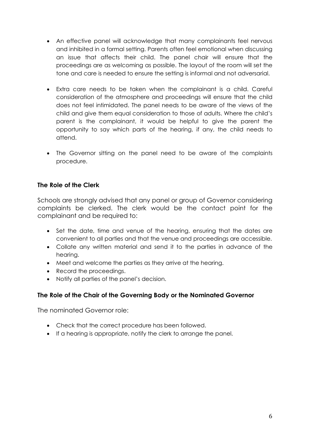- An effective panel will acknowledge that many complainants feel nervous and inhibited in a formal setting. Parents often feel emotional when discussing an issue that affects their child. The panel chair will ensure that the proceedings are as welcoming as possible. The layout of the room will set the tone and care is needed to ensure the setting is informal and not adversarial.
- Extra care needs to be taken when the complainant is a child. Careful consideration of the atmosphere and proceedings will ensure that the child does not feel intimidated. The panel needs to be aware of the views of the child and give them equal consideration to those of adults. Where the child's parent is the complainant, it would be helpful to give the parent the opportunity to say which parts of the hearing, if any, the child needs to attend.
- The Governor sitting on the panel need to be aware of the complaints procedure.

#### **The Role of the Clerk**

Schools are strongly advised that any panel or group of Governor considering complaints be clerked. The clerk would be the contact point for the complainant and be required to:

- Set the date, time and venue of the hearing, ensuring that the dates are convenient to all parties and that the venue and proceedings are accessible.
- Collate any written material and send it to the parties in advance of the hearing.
- Meet and welcome the parties as they arrive at the hearing.
- Record the proceedings.
- Notify all parties of the panel's decision.

#### **The Role of the Chair of the Governing Body or the Nominated Governor**

The nominated Governor role:

- Check that the correct procedure has been followed.
- If a hearing is appropriate, notify the clerk to arrange the panel.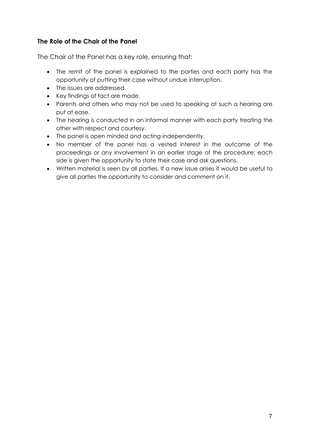#### **The Role of the Chair of the Panel**

The Chair of the Panel has a key role, ensuring that:

- The remit of the panel is explained to the parties and each party has the opportunity of putting their case without undue interruption.
- The issues are addressed.
- Key findings of fact are made.
- Parents and others who may not be used to speaking at such a hearing are put at ease.
- The hearing is conducted in an informal manner with each party treating the other with respect and courtesy.
- The panel is open minded and acting independently.
- No member of the panel has a vested interest in the outcome of the proceedings or any involvement in an earlier stage of the procedure; each side is given the opportunity to state their case and ask questions.
- Written material is seen by all parties. If a new issue arises it would be useful to give all parties the opportunity to consider and comment on it.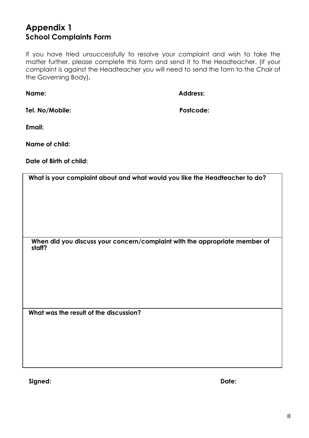# **Appendix 1 School Complaints Form**

If you have tried unsuccessfully to resolve your complaint and wish to take the matter further, please complete this form and send it to the Headteacher. (If your complaint is against the Headteacher you will need to send the form to the Chair of the Governing Body)**.**

**Name: Address:**

**Tel. No/Mobile: Postcode:**

**Email:** 

**Name of child:** 

**Date of Birth of child:** 

**What is your complaint about and what would you like the Headteacher to do?**

**When did you discuss your concern/complaint with the appropriate member of staff?**

**What was the result of the discussion?**

**Signed: Date:**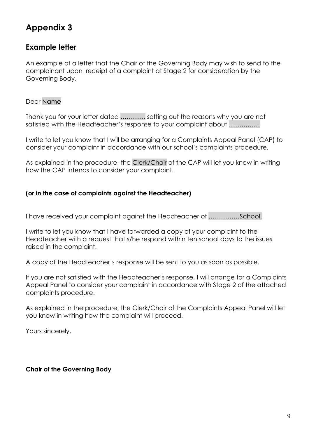# **Appendix 3**

#### **Example letter**

An example of a letter that the Chair of the Governing Body may wish to send to the complainant upon receipt of a complaint at Stage 2 for consideration by the Governing Body.

#### Dear Name

Thank you for your letter dated ………… setting out the reasons why you are not satisfied with the Headteacher's response to your complaint about ……………

I write to let you know that I will be arranging for a Complaints Appeal Panel (CAP) to consider your complaint in accordance with our school's complaints procedure.

As explained in the procedure, the Clerk/Chair of the CAP will let you know in writing how the CAP intends to consider your complaint.

#### **(or in the case of complaints against the Headteacher)**

I have received your complaint against the Headteacher of ……………School.

I write to let you know that I have forwarded a copy of your complaint to the Headteacher with a request that s/he respond within ten school days to the issues raised in the complaint.

A copy of the Headteacher's response will be sent to you as soon as possible.

If you are not satisfied with the Headteacher's response, I will arrange for a Complaints Appeal Panel to consider your complaint in accordance with Stage 2 of the attached complaints procedure.

As explained in the procedure, the Clerk/Chair of the Complaints Appeal Panel will let you know in writing how the complaint will proceed.

Yours sincerely,

#### **Chair of the Governing Body**